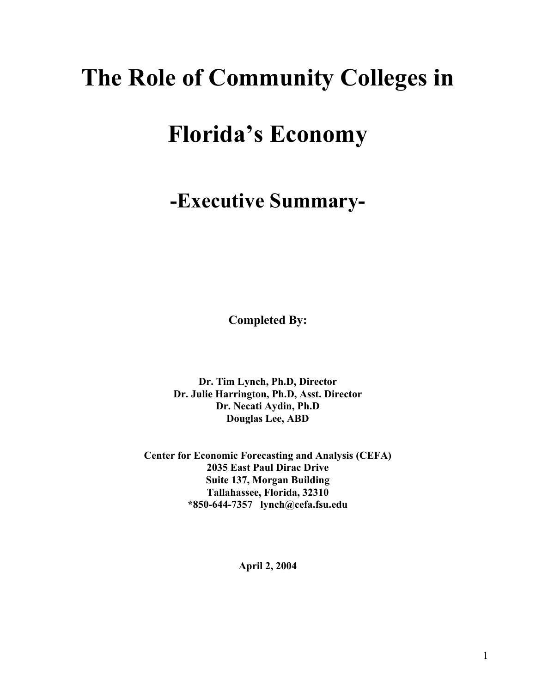# **The Role of Community Colleges in**

# **Florida's Economy**

# **-Executive Summary-**

**Completed By:** 

**Dr. Tim Lynch, Ph.D, Director Dr. Julie Harrington, Ph.D, Asst. Director Dr. Necati Aydin, Ph.D Douglas Lee, ABD** 

**Center for Economic Forecasting and Analysis (CEFA) 2035 East Paul Dirac Drive Suite 137, Morgan Building Tallahassee, Florida, 32310 \*850-644-7357 lynch@cefa.fsu.edu** 

**April 2, 2004**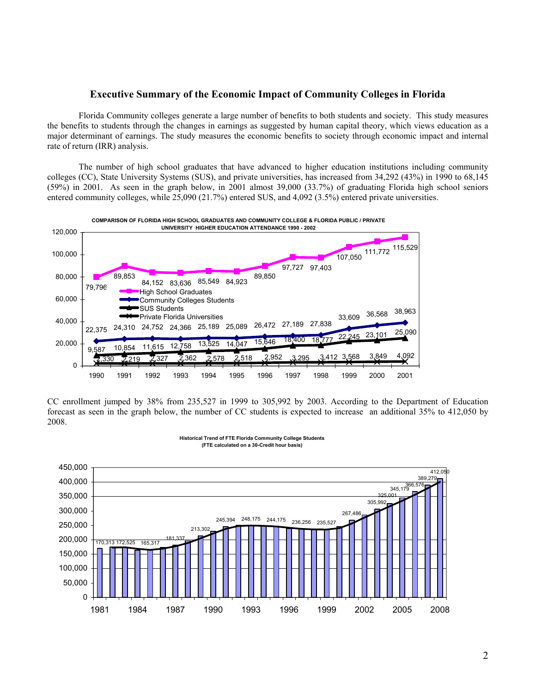### **Executive Summary of the Economic Impact of Community Colleges in Florida**

Florida Community colleges generate a large number of benefits to both students and society. This study measures the benefits to students through the changes in earnings as suggested by human capital theory, which views education as a major determinant of earnings. The study measures the economic benefits to society through economic impact and internal rate of return (IRR) analysis.

The number of high school graduates that have advanced to higher education institutions including community colleges (CC), State University Systems (SUS), and private universities, has increased from 34,292 (43%) in 1990 to 68,145 (59%) in 2001. As seen in the graph below, in 2001 almost 39,000 (33.7%) of graduating Florida high school seniors entered community colleges, while 25,090 (21.7%) entered SUS, and 4,092 (3.5%) entered private universities.



CC enrollment jumped by 38% from 235,527 in 1999 to 305,992 by 2003. According to the Department of Education forecast as seen in the graph below, the number of CC students is expected to increase an additional 35% to 412,050 by 2008.

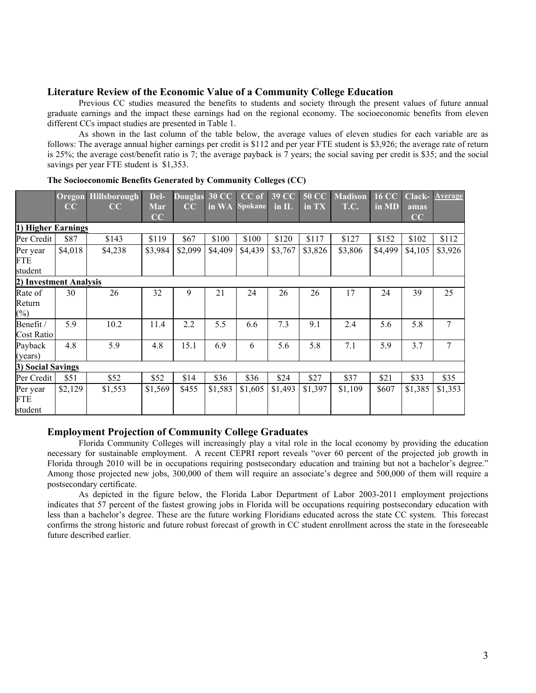## **Literature Review of the Economic Value of a Community College Education**

Previous CC studies measured the benefits to students and society through the present values of future annual graduate earnings and the impact these earnings had on the regional economy. The socioeconomic benefits from eleven different CCs impact studies are presented in Table 1.

As shown in the last column of the table below, the average values of eleven studies for each variable are as follows: The average annual higher earnings per credit is \$112 and per year FTE student is \$3,926; the average rate of return is 25%; the average cost/benefit ratio is 7; the average payback is 7 years; the social saving per credit is \$35; and the social savings per year FTE student is \$1,353.

|                             | CC      | <b>Oregon Hillsborough</b><br>CC | Del-<br>Mar<br>CC | <b>Douglas</b><br>CC | 30 CC<br>in WA | $CC$ of<br><b>Spokane</b> | 39 CC<br>$\overline{\mathbf{m}}$ IL | <b>50 CC</b><br>in TX | <b>Madison</b><br>T.C. | <b>16 CC</b><br>in MD | amas<br>CC | Clack- Average |
|-----------------------------|---------|----------------------------------|-------------------|----------------------|----------------|---------------------------|-------------------------------------|-----------------------|------------------------|-----------------------|------------|----------------|
| 1) Higher Earnings          |         |                                  |                   |                      |                |                           |                                     |                       |                        |                       |            |                |
| Per Credit                  | \$87    | \$143                            | \$119             | \$67                 | \$100          | \$100                     | \$120                               | \$117                 | \$127                  | \$152                 | \$102      | \$112          |
| Per year<br>FTE<br>student  | \$4,018 | \$4,238                          | \$3,984           | \$2,099              | \$4,409        | \$4,439                   | \$3,767                             | \$3,826               | \$3,806                | \$4,499               | \$4,105    | \$3,926        |
| 2) Investment Analysis      |         |                                  |                   |                      |                |                           |                                     |                       |                        |                       |            |                |
| Rate of<br>Return<br>$(\%)$ | 30      | 26                               | 32                | 9                    | 21             | 24                        | 26                                  | 26                    | 17                     | 24                    | 39         | 25             |
| Benefit /<br>Cost Ratio     | 5.9     | 10.2                             | 11.4              | 2.2                  | 5.5            | 6.6                       | 7.3                                 | 9.1                   | 2.4                    | 5.6                   | 5.8        | 7              |
| Payback<br>(years)          | 4.8     | 5.9                              | 4.8               | 15.1                 | 6.9            | 6                         | 5.6                                 | 5.8                   | 7.1                    | 5.9                   | 3.7        | 7              |
| 3) Social Savings           |         |                                  |                   |                      |                |                           |                                     |                       |                        |                       |            |                |
| Per Credit                  | \$51    | \$52                             | \$52              | \$14                 | \$36           | \$36                      | \$24                                | \$27                  | \$37                   | \$21                  | \$33       | \$35           |
| Per year<br>FTE<br>student  | \$2,129 | \$1,553                          | \$1,569           | \$455                | \$1,583        | \$1,605                   | \$1,493                             | \$1,397               | \$1,109                | \$607                 | \$1,385    | \$1,353        |

#### **The Socioeconomic Benefits Generated by Community Colleges (CC)**

### **Employment Projection of Community College Graduates**

Florida Community Colleges will increasingly play a vital role in the local economy by providing the education necessary for sustainable employment. A recent CEPRI report reveals "over 60 percent of the projected job growth in Florida through 2010 will be in occupations requiring postsecondary education and training but not a bachelor's degree." Among those projected new jobs, 300,000 of them will require an associate's degree and 500,000 of them will require a postsecondary certificate.

As depicted in the figure below, the Florida Labor Department of Labor 2003-2011 employment projections indicates that 57 percent of the fastest growing jobs in Florida will be occupations requiring postsecondary education with less than a bachelor's degree. These are the future working Floridians educated across the state CC system. This forecast confirms the strong historic and future robust forecast of growth in CC student enrollment across the state in the foreseeable future described earlier.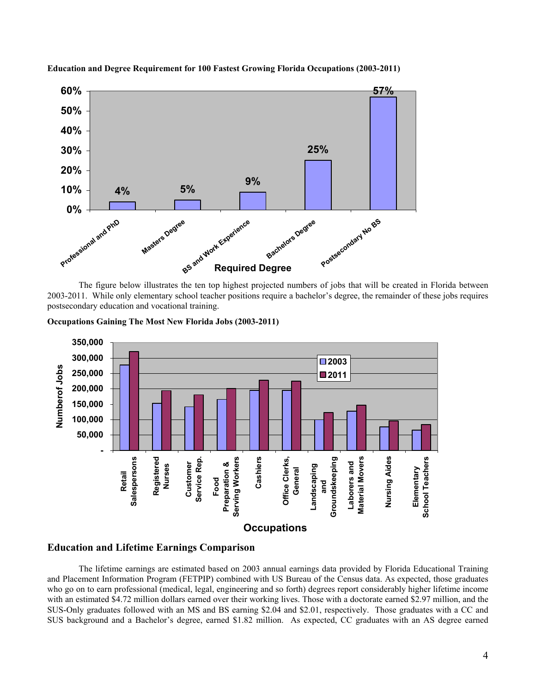

**Education and Degree Requirement for 100 Fastest Growing Florida Occupations (2003-2011)** 

The figure below illustrates the ten top highest projected numbers of jobs that will be created in Florida between 2003-2011. While only elementary school teacher positions require a bachelor's degree, the remainder of these jobs requires postsecondary education and vocational training.





### **Education and Lifetime Earnings Comparison**

The lifetime earnings are estimated based on 2003 annual earnings data provided by Florida Educational Training and Placement Information Program (FETPIP) combined with US Bureau of the Census data. As expected, those graduates who go on to earn professional (medical, legal, engineering and so forth) degrees report considerably higher lifetime income with an estimated \$4.72 million dollars earned over their working lives. Those with a doctorate earned \$2.97 million, and the SUS-Only graduates followed with an MS and BS earning \$2.04 and \$2.01, respectively. Those graduates with a CC and SUS background and a Bachelor's degree, earned \$1.82 million. As expected, CC graduates with an AS degree earned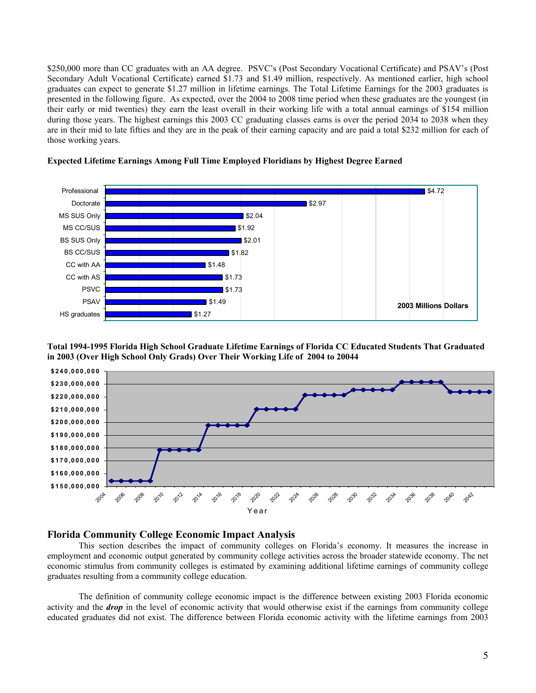\$250,000 more than CC graduates with an AA degree. PSVC's (Post Secondary Vocational Certificate) and PSAV's (Post Secondary Adult Vocational Certificate) earned \$1.73 and \$1.49 million, respectively. As mentioned earlier, high school graduates can expect to generate \$1.27 million in lifetime earnings. The Total Lifetime Earnings for the 2003 graduates is presented in the following figure. As expected, over the 2004 to 2008 time period when these graduates are the youngest (in their early or mid twenties) they earn the least overall in their working life with a total annual earnings of \$154 million during those years. The highest earnings this 2003 CC graduating classes earns is over the period 2034 to 2038 when they are in their mid to late fifties and they are in the peak of their earning capacity and are paid a total \$232 million for each of those working years.



#### **Expected Lifetime Earnings Among Full Time Employed Floridians by Highest Degree Earned**

**Total 1994-1995 Florida High School Graduate Lifetime Earnings of Florida CC Educated Students That Graduated in 2003 (Over High School Only Grads) Over Their Working Life of 2004 to 20044** 



#### **Florida Community College Economic Impact Analysis**

This section describes the impact of community colleges on Florida's economy. It measures the increase in employment and economic output generated by community college activities across the broader statewide economy. The net economic stimulus from community colleges is estimated by examining additional lifetime earnings of community college graduates resulting from a community college education.

The definition of community college economic impact is the difference between existing 2003 Florida economic activity and the *drop* in the level of economic activity that would otherwise exist if the earnings from community college educated graduates did not exist. The difference between Florida economic activity with the lifetime earnings from 2003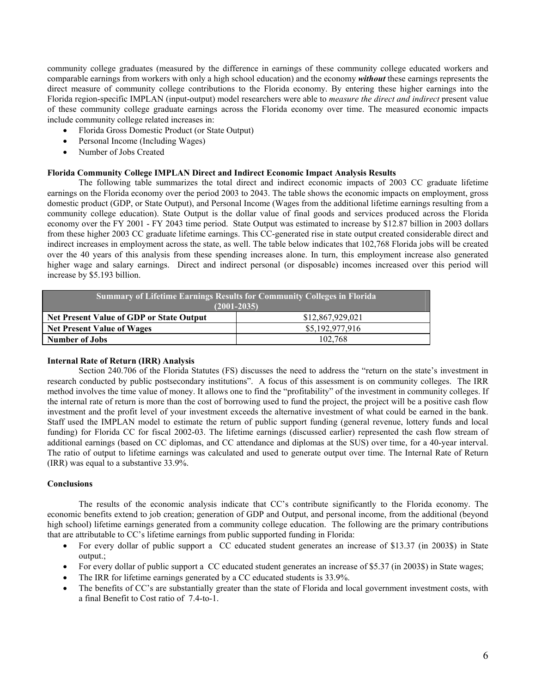community college graduates (measured by the difference in earnings of these community college educated workers and comparable earnings from workers with only a high school education) and the economy *without* these earnings represents the direct measure of community college contributions to the Florida economy. By entering these higher earnings into the Florida region-specific IMPLAN (input-output) model researchers were able to *measure the direct and indirect* present value of these community college graduate earnings across the Florida economy over time. The measured economic impacts include community college related increases in:

- Florida Gross Domestic Product (or State Output)
- Personal Income (Including Wages)
- Number of Jobs Created

#### **Florida Community College IMPLAN Direct and Indirect Economic Impact Analysis Results**

The following table summarizes the total direct and indirect economic impacts of 2003 CC graduate lifetime earnings on the Florida economy over the period 2003 to 2043. The table shows the economic impacts on employment, gross domestic product (GDP, or State Output), and Personal Income (Wages from the additional lifetime earnings resulting from a community college education). State Output is the dollar value of final goods and services produced across the Florida economy over the FY 2001 - FY 2043 time period. State Output was estimated to increase by \$12.87 billion in 2003 dollars from these higher 2003 CC graduate lifetime earnings. This CC-generated rise in state output created considerable direct and indirect increases in employment across the state, as well. The table below indicates that 102,768 Florida jobs will be created over the 40 years of this analysis from these spending increases alone. In turn, this employment increase also generated higher wage and salary earnings. Direct and indirect personal (or disposable) incomes increased over this period will increase by \$5.193 billion.

| <b>Summary of Lifetime Earnings Results for Community Colleges in Florida</b><br>$(2001 - 2035)$ |                  |  |  |  |  |  |  |
|--------------------------------------------------------------------------------------------------|------------------|--|--|--|--|--|--|
| <b>Net Present Value of GDP or State Output</b>                                                  | \$12,867,929,021 |  |  |  |  |  |  |
| <b>Net Present Value of Wages</b>                                                                | \$5,192,977,916  |  |  |  |  |  |  |
| <b>Number of Jobs</b>                                                                            | 102.768          |  |  |  |  |  |  |

### **Internal Rate of Return (IRR) Analysis**

Section 240.706 of the Florida Statutes (FS) discusses the need to address the "return on the state's investment in research conducted by public postsecondary institutions". A focus of this assessment is on community colleges. The IRR method involves the time value of money. It allows one to find the "profitability" of the investment in community colleges. If the internal rate of return is more than the cost of borrowing used to fund the project, the project will be a positive cash flow investment and the profit level of your investment exceeds the alternative investment of what could be earned in the bank. Staff used the IMPLAN model to estimate the return of public support funding (general revenue, lottery funds and local funding) for Florida CC for fiscal 2002-03. The lifetime earnings (discussed earlier) represented the cash flow stream of additional earnings (based on CC diplomas, and CC attendance and diplomas at the SUS) over time, for a 40-year interval. The ratio of output to lifetime earnings was calculated and used to generate output over time. The Internal Rate of Return (IRR) was equal to a substantive 33.9%.

#### **Conclusions**

The results of the economic analysis indicate that CC's contribute significantly to the Florida economy. The economic benefits extend to job creation; generation of GDP and Output, and personal income, from the additional (beyond high school) lifetime earnings generated from a community college education. The following are the primary contributions that are attributable to CC's lifetime earnings from public supported funding in Florida:

- For every dollar of public support a CC educated student generates an increase of \$13.37 (in 2003\$) in State output.;
- For every dollar of public support a CC educated student generates an increase of \$5.37 (in 2003\$) in State wages;
- The IRR for lifetime earnings generated by a CC educated students is 33.9%.
- The benefits of CC's are substantially greater than the state of Florida and local government investment costs, with a final Benefit to Cost ratio of 7.4-to-1.